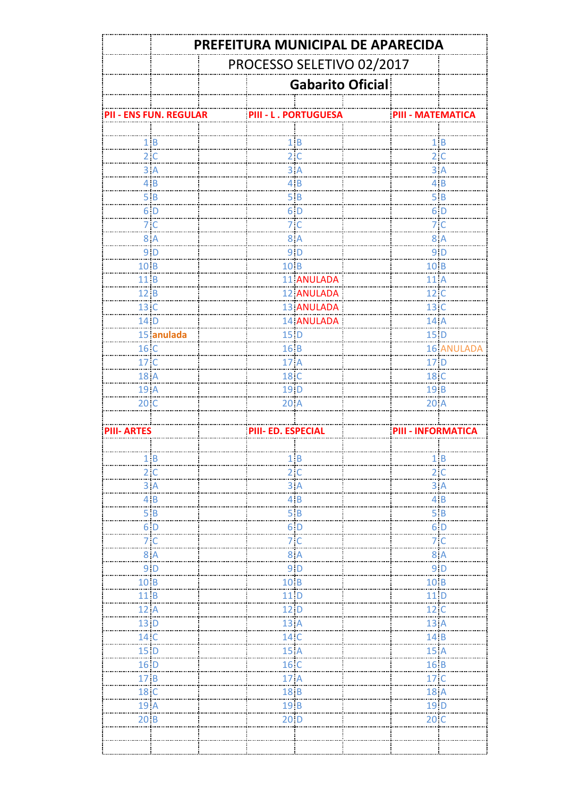|                    | PREFEITURA MUNICIPAL DE APARECIDA |  |                                           |                             |                         |                                                               |                           |  |  |
|--------------------|-----------------------------------|--|-------------------------------------------|-----------------------------|-------------------------|---------------------------------------------------------------|---------------------------|--|--|
|                    | PROCESSO SELETIVO 02/2017         |  |                                           |                             |                         |                                                               |                           |  |  |
|                    |                                   |  |                                           |                             | <b>Gabarito Oficial</b> |                                                               |                           |  |  |
|                    |                                   |  |                                           |                             |                         |                                                               |                           |  |  |
|                    | PII - ENS FUN. REGULAR            |  |                                           | <b>PIII - L. PORTUGUESA</b> |                         | PIII - MATEMATICA                                             |                           |  |  |
|                    |                                   |  |                                           |                             |                         |                                                               |                           |  |  |
|                    | 1B<br>2 <sup>c</sup>              |  |                                           | 1B<br>$2^{\circ}$ C         |                         |                                                               | $1 \, B$<br>$2^{\circ}$ C |  |  |
|                    | .                                 |  |                                           | .                           |                         |                                                               | .                         |  |  |
|                    | $3 \nA$                           |  |                                           | 3A<br>.<br>4B               |                         |                                                               | $\frac{3}{5}$ A           |  |  |
|                    | 4B<br>.                           |  |                                           | š.                          |                         |                                                               | 4B<br>- 17                |  |  |
|                    | 5B<br>.                           |  |                                           | 5B                          |                         |                                                               | 5B                        |  |  |
|                    | 6 <sub>D</sub>                    |  |                                           | 6 <sub>1</sub>              |                         |                                                               | 6 <sub>1</sub>            |  |  |
|                    | 7 <sup>°</sup>                    |  |                                           | 7 <sup>°</sup><br>.         |                         |                                                               | 7 <sup>°</sup><br>.       |  |  |
|                    | 8A                                |  |                                           | 8A                          |                         |                                                               | 8A                        |  |  |
|                    | 9 <sub>D</sub>                    |  |                                           | 9 <sub>1</sub> D            |                         |                                                               | 9 <sub>1</sub> D          |  |  |
| 10 <sub>.</sub> B  |                                   |  | 10 <sub>B</sub>                           |                             |                         | 10 <sub>.</sub> B                                             |                           |  |  |
| 11 B               |                                   |  |                                           | 11 ANULADA                  |                         | 11 A                                                          |                           |  |  |
| 12.B               |                                   |  |                                           | 12 ANULADA                  |                         | 12.C                                                          |                           |  |  |
| 13 C               |                                   |  |                                           | 13 ANULADA                  |                         | 13 C                                                          |                           |  |  |
| 14 D               |                                   |  |                                           | <b>14 ANULADA</b>           |                         | 14 A<br>.                                                     |                           |  |  |
|                    | 15 anulada                        |  | $15$ $D$                                  |                             |                         | $15$ $D$                                                      |                           |  |  |
| 16 C               |                                   |  | 16B                                       |                             |                         |                                                               | <b>16 ANULADA</b>         |  |  |
| 17 C               |                                   |  | 17 A                                      |                             |                         | 17 D                                                          |                           |  |  |
| 18 A               |                                   |  | 18 <sub>c</sub>                           |                             |                         | 18 C                                                          |                           |  |  |
| 19 A               |                                   |  | 19 <sub>.D</sub>                          |                             |                         | 19 B                                                          |                           |  |  |
| 20C                |                                   |  | 20A                                       |                             |                         | 20A                                                           |                           |  |  |
|                    |                                   |  |                                           |                             |                         |                                                               |                           |  |  |
| <b>PIII- ARTES</b> |                                   |  | <b>PIII- ED. ESPECIAL</b>                 |                             |                         | <b>PIII - INFORMATICA</b>                                     |                           |  |  |
|                    |                                   |  |                                           |                             |                         |                                                               |                           |  |  |
|                    | 1B                                |  |                                           | $\frac{1}{2}$ B             |                         |                                                               | 1B                        |  |  |
|                    | 2 C                               |  |                                           | $2^{\circ}$ C               |                         |                                                               | 2 C                       |  |  |
|                    | 3A                                |  |                                           | $\overline{3}$ A            |                         |                                                               | $3 \nA$                   |  |  |
|                    | $\frac{4}{1}$                     |  |                                           | $\overline{4}$ B            |                         |                                                               | $\overline{4}$ B          |  |  |
|                    | 5B                                |  |                                           | 5B                          |                         |                                                               | 5B                        |  |  |
|                    | $6\,$ D                           |  |                                           | 6, D                        |                         |                                                               | 6 D                       |  |  |
|                    | 7 <sup>c</sup>                    |  |                                           | 7 <sub>1</sub>              |                         |                                                               | 7 <sup>1</sup>            |  |  |
|                    | 8A                                |  | $\begin{array}{c} 8 \end{array}$ A        |                             |                         | 8A                                                            |                           |  |  |
|                    | $91$ D                            |  |                                           | 9 <sub>1</sub> D            |                         |                                                               | 9 D                       |  |  |
| 10B                |                                   |  |                                           |                             |                         |                                                               |                           |  |  |
| 11B                |                                   |  | $\begin{array}{c}\n10 \\ 11\n\end{array}$ |                             |                         | $\begin{array}{c}\n10 \text{ B} \\ 11 \text{ D}\n\end{array}$ |                           |  |  |
| 12A                |                                   |  | 12 <sub>D</sub>                           |                             |                         | 12 C                                                          |                           |  |  |
| $\frac{1}{13}$ D   |                                   |  | $\frac{12}{13}$ A                         |                             |                         | 13 A                                                          |                           |  |  |
| 14 C               |                                   |  |                                           |                             |                         |                                                               |                           |  |  |
| 15 <sub>1</sub>    |                                   |  | 14 <sub>.</sub> C                         |                             |                         | $14 \, B$                                                     |                           |  |  |
|                    |                                   |  | $15 \overline{A}$                         |                             |                         | 15A                                                           |                           |  |  |
| 16 <sub>1</sub>    |                                   |  | 16 <sub>C</sub>                           |                             |                         | 16 B                                                          |                           |  |  |
| 17B                |                                   |  | 17A                                       |                             |                         | 17 C                                                          |                           |  |  |
| 18 <sub>1</sub>    |                                   |  | 18B                                       |                             |                         | 18 <sub>.</sub> A                                             |                           |  |  |
| 19 A               |                                   |  | 19 B                                      |                             |                         | 19 D                                                          |                           |  |  |
| 20 B               |                                   |  | $20$ <sub>D</sub>                         |                             |                         | 20C                                                           |                           |  |  |
|                    |                                   |  |                                           |                             |                         |                                                               |                           |  |  |
|                    |                                   |  |                                           |                             |                         |                                                               |                           |  |  |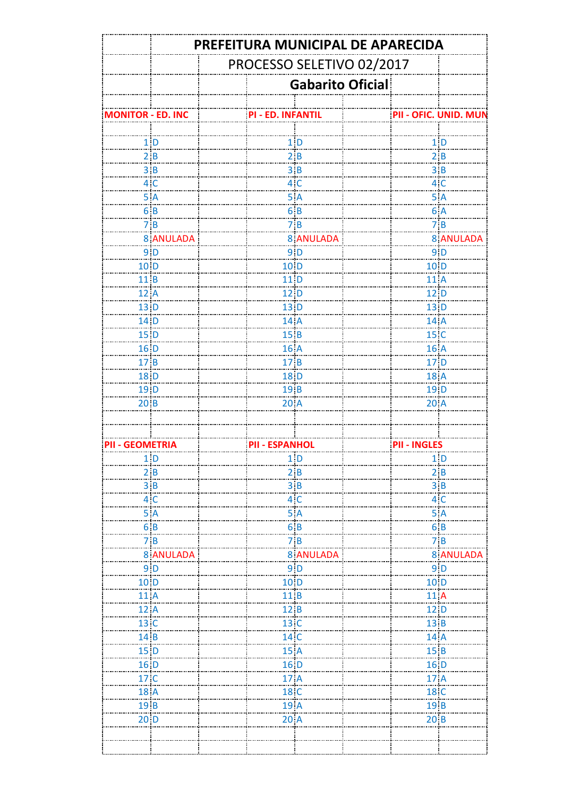|                          | PREFEITURA MUNICIPAL DE APARECIDA |                       |                         |  |                           |                  |  |  |  |
|--------------------------|-----------------------------------|-----------------------|-------------------------|--|---------------------------|------------------|--|--|--|
|                          | PROCESSO SELETIVO 02/2017         |                       |                         |  |                           |                  |  |  |  |
|                          |                                   |                       | <b>Gabarito Oficial</b> |  |                           |                  |  |  |  |
| <b>MONITOR - ED. INC</b> |                                   | PI - ED. INFANTIL     |                         |  | PII - OFIC. UNID. MUN     |                  |  |  |  |
|                          |                                   |                       |                         |  |                           |                  |  |  |  |
|                          | 1 <sub>D</sub>                    |                       | 1 <sub>1</sub>          |  |                           | 1 <sub>1</sub>   |  |  |  |
|                          | 2B                                |                       | 2B                      |  |                           | 2B               |  |  |  |
|                          | $\frac{3}{1}$ B                   |                       | $\frac{3}{1}$ B         |  |                           | $3 \, B$         |  |  |  |
|                          | 4 <sup>c</sup>                    |                       | 4 <sup>c</sup>          |  |                           | $4^\circ$ C      |  |  |  |
|                          | 5A                                |                       | 5A                      |  |                           | 5A               |  |  |  |
|                          | 6B                                |                       | 6B                      |  |                           | 6A               |  |  |  |
|                          | 7B                                |                       | 7B                      |  |                           | 7B               |  |  |  |
|                          | <b>8 ANULADA</b>                  |                       | <b>8 ANULADA</b>        |  |                           | <b>8 ANULADA</b> |  |  |  |
|                          | $9$ $D$                           |                       | 9 <sub>1</sub> D        |  |                           | 9 <sub>1</sub> D |  |  |  |
| 10 <sub>1</sub>          |                                   |                       | $10$ <sub>i</sub> D     |  | 10 <sub>1</sub><br>.      |                  |  |  |  |
| 11B                      |                                   |                       | 11 D                    |  | 11A                       |                  |  |  |  |
| 12A                      |                                   |                       | 12 D                    |  | 12 <sub>1</sub> D         |                  |  |  |  |
| 13 D                     |                                   |                       | 13 D                    |  | $13$ $D$                  |                  |  |  |  |
| 14 D                     |                                   |                       | 14 A                    |  | 14 A                      |                  |  |  |  |
| $15$ D                   |                                   |                       | 15B                     |  | 15 <sub>C</sub>           |                  |  |  |  |
| 16 <sub>D</sub>          |                                   |                       | 16 A                    |  | 16 A                      |                  |  |  |  |
| 17B                      |                                   |                       | 17 B                    |  | $171$ D                   |                  |  |  |  |
| 18 D                     |                                   |                       | 18: D                   |  | 18 A                      |                  |  |  |  |
| 19 D                     |                                   |                       | 19 B                    |  | 19 D                      |                  |  |  |  |
| 20B                      |                                   |                       | 20A                     |  | 20A                       |                  |  |  |  |
|                          |                                   |                       |                         |  |                           |                  |  |  |  |
| PII - GEOMETRIA          |                                   | <b>PII - ESPANHOL</b> |                         |  | <b>PII - INGLES</b>       |                  |  |  |  |
|                          | 1 <sub>D</sub>                    |                       | $1\vert D$              |  |                           | $1$ : $D$<br>.   |  |  |  |
|                          | 2 B                               |                       | 2B                      |  |                           | 2 B              |  |  |  |
|                          | 3B                                |                       | $\frac{3}{2}$           |  |                           | 3 B              |  |  |  |
|                          | 4C                                |                       | 4 <sub>1</sub> C        |  |                           | 4 <sub>1</sub> C |  |  |  |
|                          | 5A                                |                       | 5A                      |  |                           | 5A               |  |  |  |
|                          | 6B                                |                       | 6B                      |  |                           | 6B               |  |  |  |
|                          | 7B                                |                       | 7B                      |  |                           | 7B               |  |  |  |
|                          | <b>8 ANULADA</b>                  |                       | 8 ANULADA               |  |                           | <b>8 ANULADA</b> |  |  |  |
|                          | $9\vert D$                        |                       | 9 <sub>1</sub> D        |  |                           | 9 D              |  |  |  |
| 10 <sub>1</sub>          |                                   |                       | 10 <sub>D</sub>         |  | $10$ D                    |                  |  |  |  |
| 11 A                     |                                   |                       | 11B                     |  | 11 A                      |                  |  |  |  |
| 12A                      |                                   |                       |                         |  | $12$ D                    |                  |  |  |  |
| 13 <sub>.C</sub>         |                                   |                       | $\frac{12}{13}$ C       |  | $13 \, B$                 |                  |  |  |  |
| 14B                      |                                   |                       | 14 <sub>.</sub> C       |  | 14 A                      |                  |  |  |  |
| 15 <sub>.D</sub>         |                                   |                       | 15A                     |  | 15B                       |                  |  |  |  |
| $16$ $D$                 |                                   |                       | 16 <sub>1</sub>         |  | 16 D                      |                  |  |  |  |
| 17 C                     |                                   |                       | 17A                     |  | 17 A                      |                  |  |  |  |
| 18 <sub>.</sub> A        |                                   |                       | 18 <sub>.</sub> C       |  |                           |                  |  |  |  |
| 19 B                     |                                   |                       |                         |  | 18 <sub>.</sub> C<br>19 B |                  |  |  |  |
| 20 <sub>1</sub> D        |                                   |                       | $191$ A<br>20A          |  | 20B                       |                  |  |  |  |
|                          |                                   |                       |                         |  |                           |                  |  |  |  |
|                          |                                   |                       |                         |  |                           |                  |  |  |  |
|                          |                                   |                       |                         |  |                           |                  |  |  |  |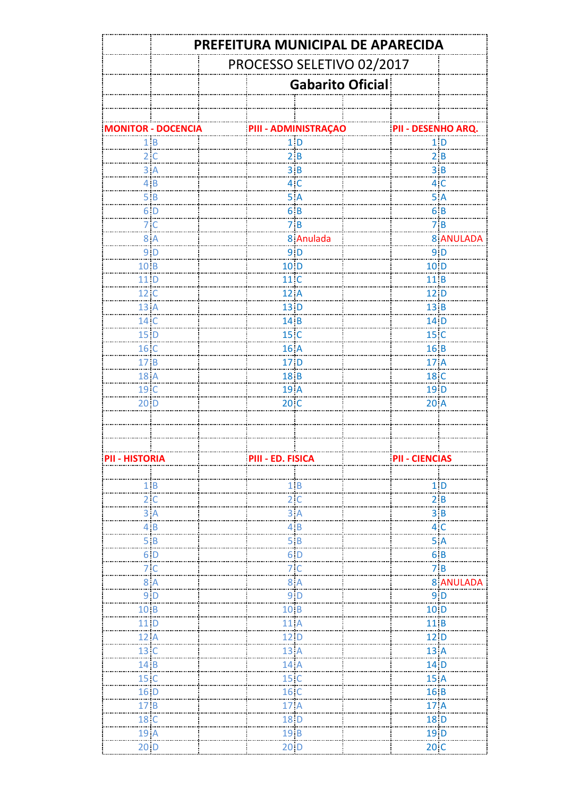|                 | PREFEITURA MUNICIPAL DE APARECIDA |                   |                             |  |                        |                  |  |  |  |
|-----------------|-----------------------------------|-------------------|-----------------------------|--|------------------------|------------------|--|--|--|
|                 | PROCESSO SELETIVO 02/2017         |                   |                             |  |                        |                  |  |  |  |
|                 |                                   |                   | <b>Gabarito Oficial</b>     |  |                        |                  |  |  |  |
|                 |                                   |                   |                             |  |                        |                  |  |  |  |
|                 |                                   |                   |                             |  |                        |                  |  |  |  |
|                 | <b>MONITOR - DOCENCIA</b>         |                   | <b>PIII - ADMINISTRAÇÃO</b> |  | PII - DESENHO ARQ.     |                  |  |  |  |
|                 | 1B<br>.                           |                   | $1\vert D$                  |  |                        | 1 <sub>b</sub>   |  |  |  |
|                 | $2^{\circ}$ C                     |                   | 2B                          |  | $2 \, B$               |                  |  |  |  |
|                 | $3 \nA$                           |                   | $\frac{3}{1}$ B             |  | $\frac{3}{1}$ B        |                  |  |  |  |
|                 | 4B                                |                   | 4 <sup>°</sup>              |  | 4 <sup>°</sup>         |                  |  |  |  |
|                 | 5B<br>.                           |                   | 5A                          |  | 5A                     |                  |  |  |  |
|                 | $6$ D<br>$\sim$                   |                   | 6B                          |  | 6B                     |                  |  |  |  |
|                 | 7 <sup>c</sup>                    |                   | 7B                          |  | 7B                     |                  |  |  |  |
|                 | 8A                                |                   | 8 Anulada                   |  |                        | 8 ANULADA        |  |  |  |
|                 | 9 <sub>1</sub> D                  |                   | $9$ $D$                     |  |                        | $9$ $D$          |  |  |  |
| 10.B            |                                   | 10 <sub>10</sub>  |                             |  | 10 <sub>1</sub><br>.   |                  |  |  |  |
| 11 D            |                                   | 11 <sup>C</sup>   |                             |  | 11 B                   |                  |  |  |  |
| 12 <sup>°</sup> |                                   | 12 A              |                             |  | 12 D                   |                  |  |  |  |
| 13 A            |                                   | 13 D              |                             |  | 13 B                   |                  |  |  |  |
| 14 C            |                                   | 14 B              |                             |  | 14 D                   |                  |  |  |  |
| 15 <sub>1</sub> |                                   | 15 <sub>.</sub> C |                             |  | 15 <sub>1</sub>        |                  |  |  |  |
| 16C             |                                   | 16 A              |                             |  | 16 B                   |                  |  |  |  |
| 17B             |                                   | 17 <sub>1</sub>   |                             |  | 17 A                   |                  |  |  |  |
| 18A             |                                   | 18 B              |                             |  | 18 <sub>.</sub> C      |                  |  |  |  |
| 19 <sub>C</sub> |                                   | 19A               |                             |  | $19$ $D$               |                  |  |  |  |
| 20 <sub>1</sub> |                                   | 20C               |                             |  | $20$ A                 |                  |  |  |  |
|                 |                                   |                   |                             |  |                        |                  |  |  |  |
|                 |                                   |                   |                             |  |                        |                  |  |  |  |
|                 |                                   |                   |                             |  |                        |                  |  |  |  |
| PII - HISTORIA  |                                   | PIII - FD. FISICA |                             |  | <b>PIL-CIENCIAS</b>    |                  |  |  |  |
|                 |                                   |                   |                             |  |                        |                  |  |  |  |
|                 | 1 B                               |                   | 1B                          |  |                        | 1 D              |  |  |  |
|                 |                                   |                   | $2^{\frac{1}{2}}C$          |  | 2B                     |                  |  |  |  |
|                 |                                   |                   | $\frac{3}{2}$ A             |  | $\frac{3}{1}$ B        |                  |  |  |  |
|                 | $\overline{4}$ B                  |                   | $\frac{4}{3}$ B             |  | 4 <sup>°</sup>         | .                |  |  |  |
|                 | 5B                                |                   | 5B                          |  | 5A                     |                  |  |  |  |
|                 | 6D                                |                   | 6 <sub>1</sub><br>j.,       |  | 6B                     |                  |  |  |  |
|                 | 7 C                               |                   | 7 <sup>°</sup>              |  | 7B                     |                  |  |  |  |
|                 | 8 A                               |                   | 8A                          |  |                        | <b>8 ANULADA</b> |  |  |  |
|                 | $9\vert D$                        | 9 <sub>1</sub>    |                             |  | 9 <sub>1</sub>         |                  |  |  |  |
| 10 <sub>B</sub> |                                   | 10B               |                             |  | 10 <sub>1</sub>        |                  |  |  |  |
| 11 D            |                                   | 11A               | ÷                           |  | 11B                    |                  |  |  |  |
| 12 A            |                                   | 12 <sub>1</sub> D |                             |  | 12 D                   |                  |  |  |  |
| 13 C            |                                   | 13A               | سنؤ                         |  | 13A                    |                  |  |  |  |
| 14 B            |                                   | 14A<br>.          |                             |  | 14 D                   |                  |  |  |  |
| 15 C            |                                   | 15 <sub>.</sub> C |                             |  | 15 A                   |                  |  |  |  |
| 16 D            |                                   | 16 <sub>.</sub> C |                             |  | 16B                    |                  |  |  |  |
| 17B             |                                   | 17 A              |                             |  | .<br>17A               |                  |  |  |  |
| 18 C            |                                   | 18 D              |                             |  | 18 D                   |                  |  |  |  |
| 19 A            |                                   | 19 B              |                             |  | 19 <sub>D</sub><br>. i |                  |  |  |  |
| $20$ D          |                                   | $20$ D            |                             |  | 20C                    |                  |  |  |  |